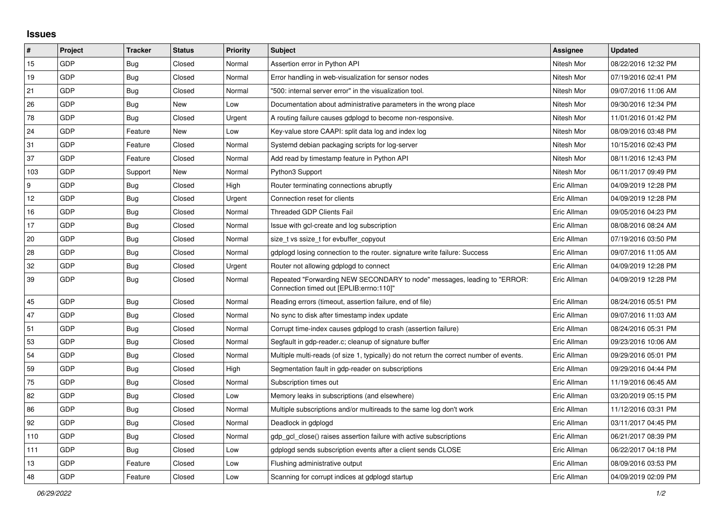## **Issues**

| #      | Project | <b>Tracker</b> | <b>Status</b> | <b>Priority</b> | <b>Subject</b>                                                                                                      | <b>Assignee</b> | <b>Updated</b>      |
|--------|---------|----------------|---------------|-----------------|---------------------------------------------------------------------------------------------------------------------|-----------------|---------------------|
| 15     | GDP     | Bug            | Closed        | Normal          | Assertion error in Python API                                                                                       | Nitesh Mor      | 08/22/2016 12:32 PM |
| 19     | GDP     | <b>Bug</b>     | Closed        | Normal          | Error handling in web-visualization for sensor nodes                                                                | Nitesh Mor      | 07/19/2016 02:41 PM |
| 21     | GDP     | <b>Bug</b>     | Closed        | Normal          | '500: internal server error" in the visualization tool.                                                             | Nitesh Mor      | 09/07/2016 11:06 AM |
| 26     | GDP     | <b>Bug</b>     | New           | Low             | Documentation about administrative parameters in the wrong place                                                    | Nitesh Mor      | 09/30/2016 12:34 PM |
| 78     | GDP     | <b>Bug</b>     | Closed        | Urgent          | A routing failure causes gdplogd to become non-responsive.                                                          | Nitesh Mor      | 11/01/2016 01:42 PM |
| 24     | GDP     | Feature        | New           | Low             | Key-value store CAAPI: split data log and index log                                                                 | Nitesh Mor      | 08/09/2016 03:48 PM |
| 31     | GDP     | Feature        | Closed        | Normal          | Systemd debian packaging scripts for log-server                                                                     | Nitesh Mor      | 10/15/2016 02:43 PM |
| 37     | GDP     | Feature        | Closed        | Normal          | Add read by timestamp feature in Python API                                                                         | Nitesh Mor      | 08/11/2016 12:43 PM |
| 103    | GDP     | Support        | <b>New</b>    | Normal          | Python3 Support                                                                                                     | Nitesh Mor      | 06/11/2017 09:49 PM |
| 9      | GDP     | <b>Bug</b>     | Closed        | High            | Router terminating connections abruptly                                                                             | Eric Allman     | 04/09/2019 12:28 PM |
| 12     | GDP     | <b>Bug</b>     | Closed        | Urgent          | Connection reset for clients                                                                                        | Eric Allman     | 04/09/2019 12:28 PM |
| 16     | GDP     | <b>Bug</b>     | Closed        | Normal          | <b>Threaded GDP Clients Fail</b>                                                                                    | Eric Allman     | 09/05/2016 04:23 PM |
| 17     | GDP     | <b>Bug</b>     | Closed        | Normal          | Issue with gcl-create and log subscription                                                                          | Eric Allman     | 08/08/2016 08:24 AM |
| $20\,$ | GDP     | <b>Bug</b>     | Closed        | Normal          | size t vs ssize t for evbuffer copyout                                                                              | Eric Allman     | 07/19/2016 03:50 PM |
| 28     | GDP     | <b>Bug</b>     | Closed        | Normal          | gdplogd losing connection to the router. signature write failure: Success                                           | Eric Allman     | 09/07/2016 11:05 AM |
| 32     | GDP     | <b>Bug</b>     | Closed        | Urgent          | Router not allowing gdplogd to connect                                                                              | Eric Allman     | 04/09/2019 12:28 PM |
| 39     | GDP     | <b>Bug</b>     | Closed        | Normal          | Repeated "Forwarding NEW SECONDARY to node" messages, leading to "ERROR:<br>Connection timed out [EPLIB:errno:110]" | Eric Allman     | 04/09/2019 12:28 PM |
| 45     | GDP     | <b>Bug</b>     | Closed        | Normal          | Reading errors (timeout, assertion failure, end of file)                                                            | Eric Allman     | 08/24/2016 05:51 PM |
| 47     | GDP     | Bug            | Closed        | Normal          | No sync to disk after timestamp index update                                                                        | Eric Allman     | 09/07/2016 11:03 AM |
| 51     | GDP     | <b>Bug</b>     | Closed        | Normal          | Corrupt time-index causes gdplogd to crash (assertion failure)                                                      | Eric Allman     | 08/24/2016 05:31 PM |
| 53     | GDP     | <b>Bug</b>     | Closed        | Normal          | Segfault in gdp-reader.c; cleanup of signature buffer                                                               | Eric Allman     | 09/23/2016 10:06 AM |
| 54     | GDP     | <b>Bug</b>     | Closed        | Normal          | Multiple multi-reads (of size 1, typically) do not return the correct number of events.                             | Eric Allman     | 09/29/2016 05:01 PM |
| 59     | GDP     | Bug            | Closed        | High            | Segmentation fault in gdp-reader on subscriptions                                                                   | Eric Allman     | 09/29/2016 04:44 PM |
| 75     | GDP     | <b>Bug</b>     | Closed        | Normal          | Subscription times out                                                                                              | Eric Allman     | 11/19/2016 06:45 AM |
| 82     | GDP     | Bug            | Closed        | Low             | Memory leaks in subscriptions (and elsewhere)                                                                       | Eric Allman     | 03/20/2019 05:15 PM |
| 86     | GDP     | <b>Bug</b>     | Closed        | Normal          | Multiple subscriptions and/or multireads to the same log don't work                                                 | Eric Allman     | 11/12/2016 03:31 PM |
| 92     | GDP     | <b>Bug</b>     | Closed        | Normal          | Deadlock in gdplogd                                                                                                 | Eric Allman     | 03/11/2017 04:45 PM |
| 110    | GDP     | Bug            | Closed        | Normal          | gdp gcl close() raises assertion failure with active subscriptions                                                  | Eric Allman     | 06/21/2017 08:39 PM |
| 111    | GDP     | Bug            | Closed        | Low             | gdplogd sends subscription events after a client sends CLOSE                                                        | Eric Allman     | 06/22/2017 04:18 PM |
| 13     | GDP     | Feature        | Closed        | Low             | Flushing administrative output                                                                                      | Eric Allman     | 08/09/2016 03:53 PM |
| 48     | GDP     | Feature        | Closed        | Low             | Scanning for corrupt indices at gdplogd startup                                                                     | Eric Allman     | 04/09/2019 02:09 PM |